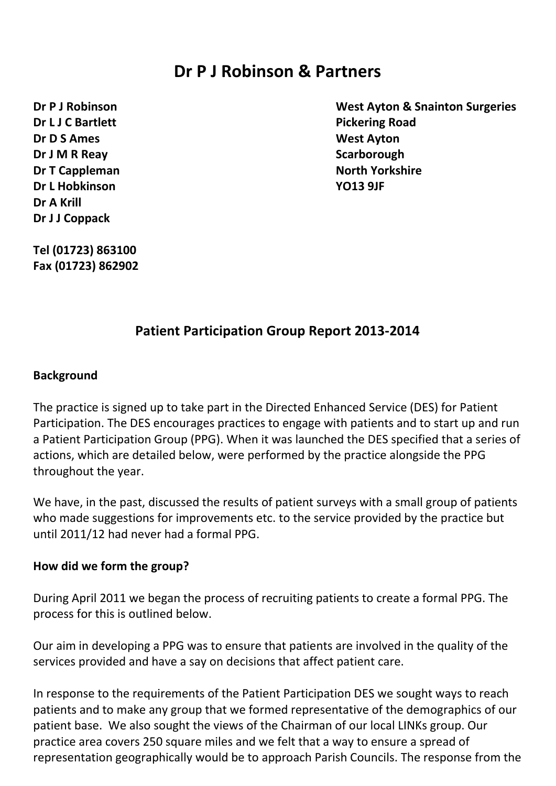# **Dr P J Robinson & Partners**

**Dr L J C Bartlett Pickering Road Dr D S Ames West Ayton Dr J M R Reay Scarborough Dr T Cappleman North Yorkshire Dr L Hobkinson YO13 9JF Dr A Krill Dr J J Coppack**

**Dr P J Robinson West Ayton & Snainton Surgeries**

**Tel (01723) 863100 Fax (01723) 862902**

## **Patient Participation Group Report 2013-2014**

#### **Background**

The practice is signed up to take part in the Directed Enhanced Service (DES) for Patient Participation. The DES encourages practices to engage with patients and to start up and run a Patient Participation Group (PPG). When it was launched the DES specified that a series of actions, which are detailed below, were performed by the practice alongside the PPG throughout the year.

We have, in the past, discussed the results of patient surveys with a small group of patients who made suggestions for improvements etc. to the service provided by the practice but until 2011/12 had never had a formal PPG.

### **How did we form the group?**

During April 2011 we began the process of recruiting patients to create a formal PPG. The process for this is outlined below.

Our aim in developing a PPG was to ensure that patients are involved in the quality of the services provided and have a say on decisions that affect patient care.

In response to the requirements of the Patient Participation DES we sought ways to reach patients and to make any group that we formed representative of the demographics of our patient base. We also sought the views of the Chairman of our local LINKs group. Our practice area covers 250 square miles and we felt that a way to ensure a spread of representation geographically would be to approach Parish Councils. The response from the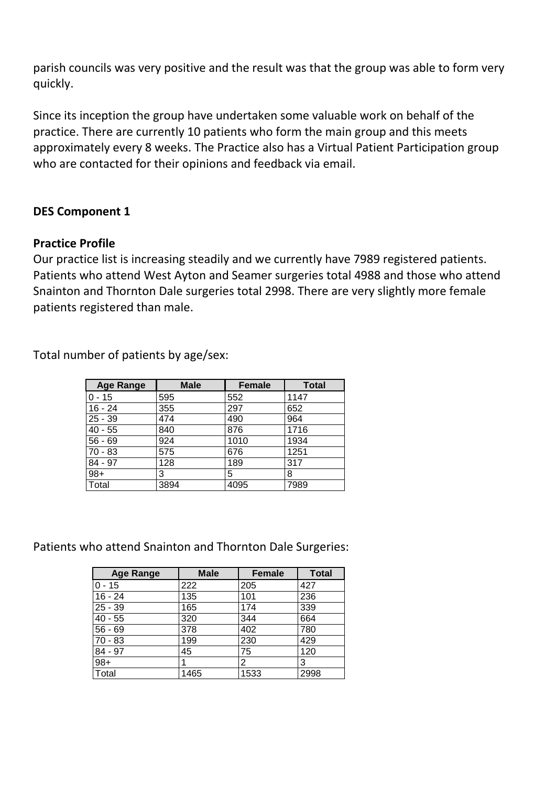parish councils was very positive and the result was that the group was able to form very quickly.

Since its inception the group have undertaken some valuable work on behalf of the practice. There are currently 10 patients who form the main group and this meets approximately every 8 weeks. The Practice also has a Virtual Patient Participation group who are contacted for their opinions and feedback via email.

### **DES Component 1**

### **Practice Profile**

Our practice list is increasing steadily and we currently have 7989 registered patients. Patients who attend West Ayton and Seamer surgeries total 4988 and those who attend Snainton and Thornton Dale surgeries total 2998. There are very slightly more female patients registered than male.

Total number of patients by age/sex:

| <b>Age Range</b> | <b>Male</b> | <b>Female</b> | <b>Total</b> |
|------------------|-------------|---------------|--------------|
| $0 - 15$         | 595         | 552           | 1147         |
| $16 - 24$        | 355         | 297           | 652          |
| $25 - 39$        | 474         | 490           | 964          |
| $40 - 55$        | 840         | 876           | 1716         |
| $56 - 69$        | 924         | 1010          | 1934         |
| 70 - 83          | 575         | 676           | 1251         |
| $84 - 97$        | 128         | 189           | 317          |
| $98+$            | 3           | 5             | 8            |
| Total            | 3894        | 4095          | 7989         |

Patients who attend Snainton and Thornton Dale Surgeries:

| <b>Age Range</b> | <b>Male</b> | <b>Female</b> | <b>Total</b> |
|------------------|-------------|---------------|--------------|
| $0 - 15$         | 222         | 205           | 427          |
| $16 - 24$        | 135         | 101           | 236          |
| $25 - 39$        | 165         | 174           | 339          |
| $40 - 55$        | 320         | 344           | 664          |
| $56 - 69$        | 378         | 402           | 780          |
| $70 - 83$        | 199         | 230           | 429          |
| 84 - 97          | 45          | 75            | 120          |
| $98+$            |             | 2             | 3            |
| Total            | 1465        | 1533          | 2998         |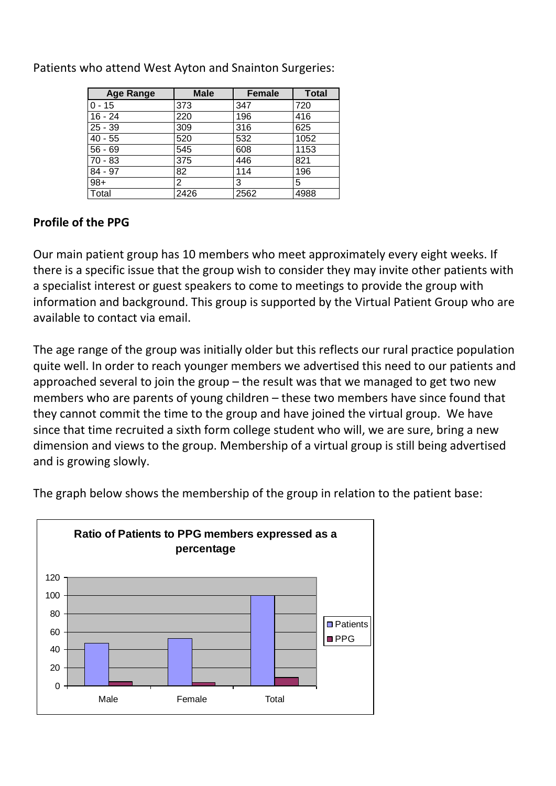| <b>Age Range</b> | <b>Male</b> | <b>Female</b> | <b>Total</b> |
|------------------|-------------|---------------|--------------|
| $0 - 15$         | 373         | 347           | 720          |
| $16 - 24$        | 220         | 196           | 416          |
| $25 - 39$        | 309         | 316           | 625          |
| $40 - 55$        | 520         | 532           | 1052         |
| $56 - 69$        | 545         | 608           | 1153         |
| $70 - 83$        | 375         | 446           | 821          |
| 84 - 97          | 82          | 114           | 196          |
| $98+$            | 2           | 3             | 5            |
| Total            | 2426        | 2562          | 4988         |

Patients who attend West Ayton and Snainton Surgeries:

## **Profile of the PPG**

Our main patient group has 10 members who meet approximately every eight weeks. If there is a specific issue that the group wish to consider they may invite other patients with a specialist interest or guest speakers to come to meetings to provide the group with information and background. This group is supported by the Virtual Patient Group who are available to contact via email.

The age range of the group was initially older but this reflects our rural practice population quite well. In order to reach younger members we advertised this need to our patients and approached several to join the group – the result was that we managed to get two new members who are parents of young children – these two members have since found that they cannot commit the time to the group and have joined the virtual group. We have since that time recruited a sixth form college student who will, we are sure, bring a new dimension and views to the group. Membership of a virtual group is still being advertised and is growing slowly.



The graph below shows the membership of the group in relation to the patient base: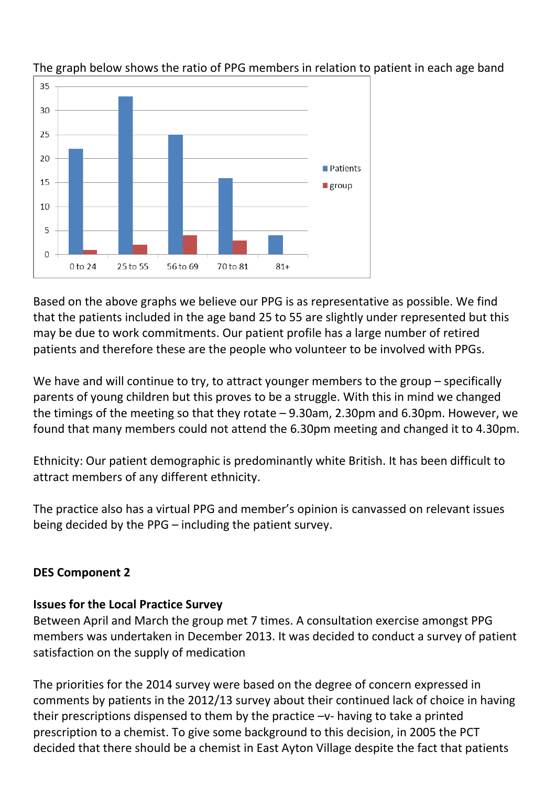

The graph below shows the ratio of PPG members in relation to patient in each age band

Based on the above graphs we believe our PPG is as representative as possible. We find that the patients included in the age band 25 to 55 are slightly under represented but this may be due to work commitments. Our patient profile has a large number of retired patients and therefore these are the people who volunteer to be involved with PPGs.

We have and will continue to try, to attract younger members to the group – specifically parents of young children but this proves to be a struggle. With this in mind we changed the timings of the meeting so that they rotate – 9.30am, 2.30pm and 6.30pm. However, we found that many members could not attend the 6.30pm meeting and changed it to 4.30pm.

Ethnicity: Our patient demographic is predominantly white British. It has been difficult to attract members of any different ethnicity.

The practice also has a virtual PPG and member's opinion is canvassed on relevant issues being decided by the PPG – including the patient survey.

## **DES Component 2**

## **Issues for the Local Practice Survey**

Between April and March the group met 7 times. A consultation exercise amongst PPG members was undertaken in December 2013. It was decided to conduct a survey of patient satisfaction on the supply of medication

The priorities for the 2014 survey were based on the degree of concern expressed in comments by patients in the 2012/13 survey about their continued lack of choice in having their prescriptions dispensed to them by the practice –v- having to take a printed prescription to a chemist. To give some background to this decision, in 2005 the PCT decided that there should be a chemist in East Ayton Village despite the fact that patients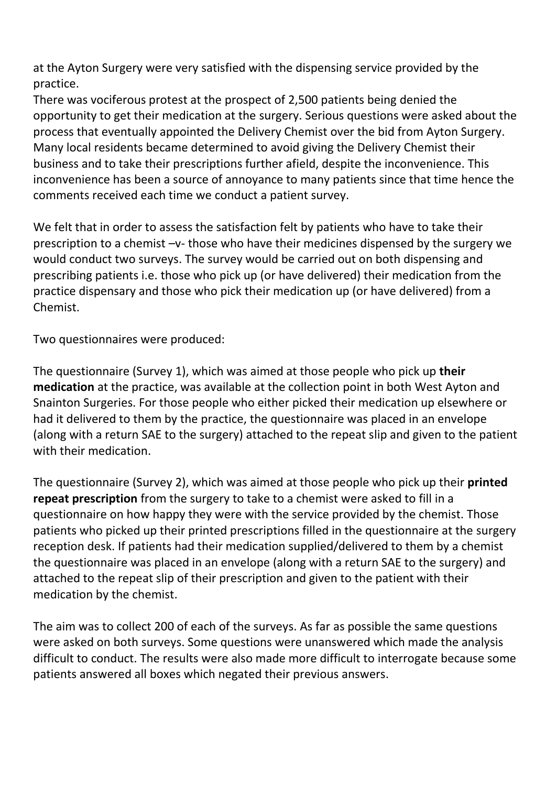at the Ayton Surgery were very satisfied with the dispensing service provided by the practice.

There was vociferous protest at the prospect of 2,500 patients being denied the opportunity to get their medication at the surgery. Serious questions were asked about the process that eventually appointed the Delivery Chemist over the bid from Ayton Surgery. Many local residents became determined to avoid giving the Delivery Chemist their business and to take their prescriptions further afield, despite the inconvenience. This inconvenience has been a source of annoyance to many patients since that time hence the comments received each time we conduct a patient survey.

We felt that in order to assess the satisfaction felt by patients who have to take their prescription to a chemist –v- those who have their medicines dispensed by the surgery we would conduct two surveys. The survey would be carried out on both dispensing and prescribing patients i.e. those who pick up (or have delivered) their medication from the practice dispensary and those who pick their medication up (or have delivered) from a Chemist.

Two questionnaires were produced:

The questionnaire (Survey 1), which was aimed at those people who pick up **their medication** at the practice, was available at the collection point in both West Ayton and Snainton Surgeries. For those people who either picked their medication up elsewhere or had it delivered to them by the practice, the questionnaire was placed in an envelope (along with a return SAE to the surgery) attached to the repeat slip and given to the patient with their medication.

The questionnaire (Survey 2), which was aimed at those people who pick up their **printed repeat prescription** from the surgery to take to a chemist were asked to fill in a questionnaire on how happy they were with the service provided by the chemist. Those patients who picked up their printed prescriptions filled in the questionnaire at the surgery reception desk. If patients had their medication supplied/delivered to them by a chemist the questionnaire was placed in an envelope (along with a return SAE to the surgery) and attached to the repeat slip of their prescription and given to the patient with their medication by the chemist.

The aim was to collect 200 of each of the surveys. As far as possible the same questions were asked on both surveys. Some questions were unanswered which made the analysis difficult to conduct. The results were also made more difficult to interrogate because some patients answered all boxes which negated their previous answers.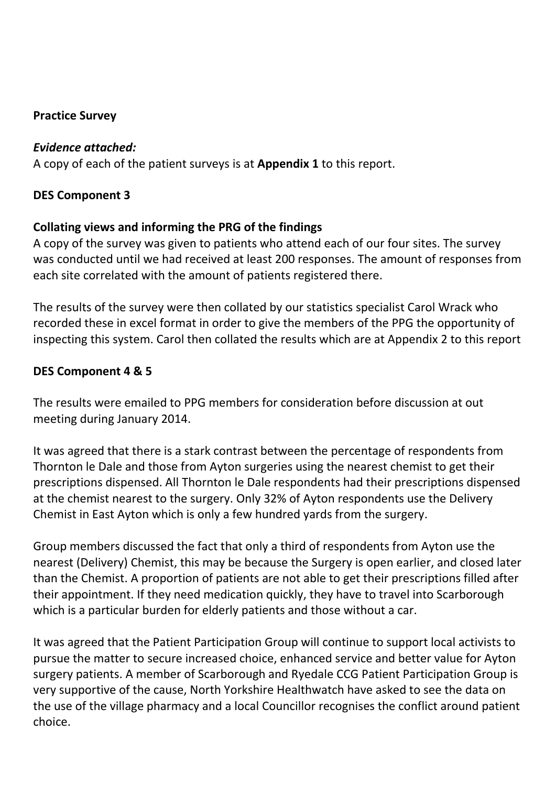## **Practice Survey**

### *Evidence attached:*

A copy of each of the patient surveys is at **Appendix 1** to this report.

## **DES Component 3**

## **Collating views and informing the PRG of the findings**

A copy of the survey was given to patients who attend each of our four sites. The survey was conducted until we had received at least 200 responses. The amount of responses from each site correlated with the amount of patients registered there.

The results of the survey were then collated by our statistics specialist Carol Wrack who recorded these in excel format in order to give the members of the PPG the opportunity of inspecting this system. Carol then collated the results which are at Appendix 2 to this report

## **DES Component 4 & 5**

The results were emailed to PPG members for consideration before discussion at out meeting during January 2014.

It was agreed that there is a stark contrast between the percentage of respondents from Thornton le Dale and those from Ayton surgeries using the nearest chemist to get their prescriptions dispensed. All Thornton le Dale respondents had their prescriptions dispensed at the chemist nearest to the surgery. Only 32% of Ayton respondents use the Delivery Chemist in East Ayton which is only a few hundred yards from the surgery.

Group members discussed the fact that only a third of respondents from Ayton use the nearest (Delivery) Chemist, this may be because the Surgery is open earlier, and closed later than the Chemist. A proportion of patients are not able to get their prescriptions filled after their appointment. If they need medication quickly, they have to travel into Scarborough which is a particular burden for elderly patients and those without a car.

It was agreed that the Patient Participation Group will continue to support local activists to pursue the matter to secure increased choice, enhanced service and better value for Ayton surgery patients. A member of Scarborough and Ryedale CCG Patient Participation Group is very supportive of the cause, North Yorkshire Healthwatch have asked to see the data on the use of the village pharmacy and a local Councillor recognises the conflict around patient choice.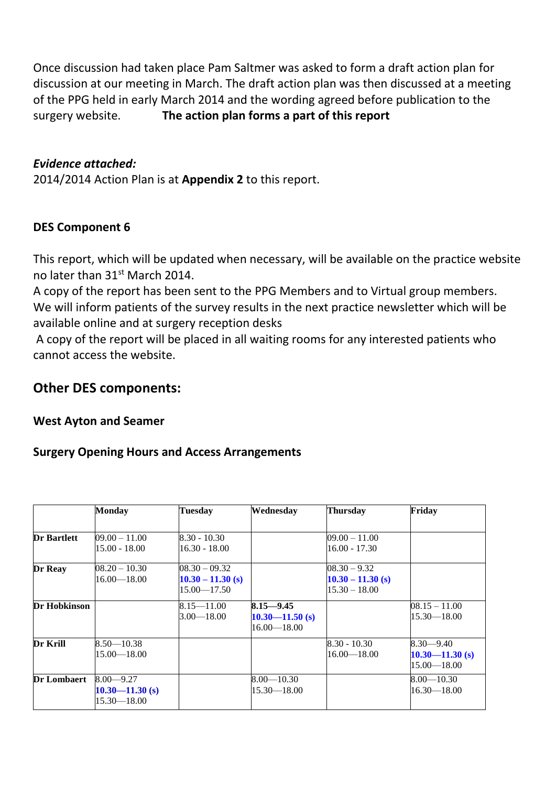Once discussion had taken place Pam Saltmer was asked to form a draft action plan for discussion at our meeting in March. The draft action plan was then discussed at a meeting of the PPG held in early March 2014 and the wording agreed before publication to the surgery website. **The action plan forms a part of this report**

### *Evidence attached:*

2014/2014 Action Plan is at **Appendix 2** to this report.

### **DES Component 6**

This report, which will be updated when necessary, will be available on the practice website no later than 31<sup>st</sup> March 2014.

A copy of the report has been sent to the PPG Members and to Virtual group members. We will inform patients of the survey results in the next practice newsletter which will be available online and at surgery reception desks

A copy of the report will be placed in all waiting rooms for any interested patients who cannot access the website.

## **Other DES components:**

### **West Ayton and Seamer**

### **Surgery Opening Hours and Access Arrangements**

|                    | <b>Monday</b>       | <b>Tuesday</b>      | Wednesday           | <b>Thursday</b>     | Friday              |
|--------------------|---------------------|---------------------|---------------------|---------------------|---------------------|
|                    |                     |                     |                     |                     |                     |
| <b>Dr Bartlett</b> | $09.00 - 11.00$     | $8.30 - 10.30$      |                     | $09.00 - 11.00$     |                     |
|                    | $15.00 - 18.00$     | $16.30 - 18.00$     |                     | $16.00 - 17.30$     |                     |
| Dr Reay            | $08.20 - 10.30$     | $08.30 - 09.32$     |                     | $08.30 - 9.32$      |                     |
|                    | $16.00 - 18.00$     | $10.30 - 11.30$ (s) |                     | $10.30 - 11.30$ (s) |                     |
|                    |                     | $15.00 - 17.50$     |                     | $15.30 - 18.00$     |                     |
| Dr Hobkinson       |                     | $8.15 - 11.00$      | $8.15 - 9.45$       |                     | $08.15 - 11.00$     |
|                    |                     | $3.00 - 18.00$      | $10.30 - 11.50$ (s) |                     | $15.30 - 18.00$     |
|                    |                     |                     | $16.00 - 18.00$     |                     |                     |
| <b>Dr Krill</b>    | $8.50 - 10.38$      |                     |                     | $8.30 - 10.30$      | $8.30 - 9.40$       |
|                    | $15.00 - 18.00$     |                     |                     | $16.00 - 18.00$     | $10.30 - 11.30$ (s) |
|                    |                     |                     |                     |                     | $15.00 - 18.00$     |
| <b>Dr Lombaert</b> | $8.00 - 9.27$       |                     | $8.00 - 10.30$      |                     | $8.00 - 10.30$      |
|                    | $10.30 - 11.30$ (s) |                     | $15.30 - 18.00$     |                     | $16.30 - 18.00$     |
|                    | $15.30 - 18.00$     |                     |                     |                     |                     |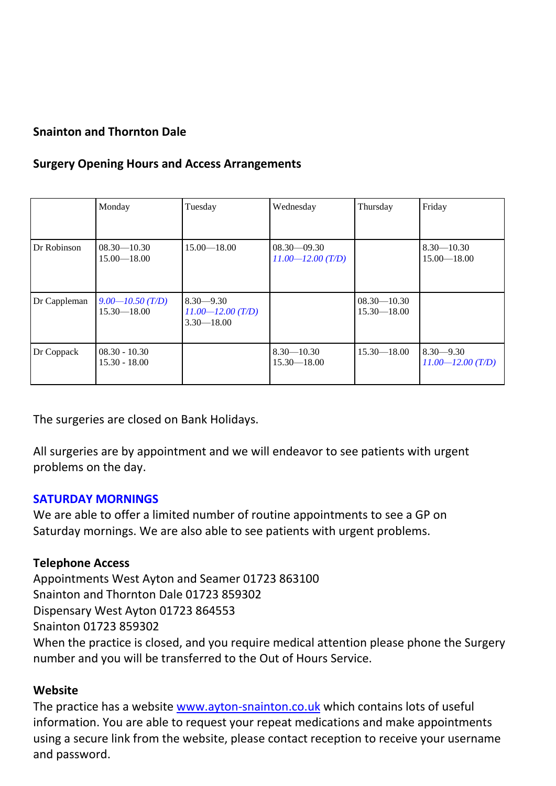## **Snainton and Thornton Dale**

## **Surgery Opening Hours and Access Arrangements**

|              | Monday                                  | Tuesday                                                  | Wednesday                                | Thursday                           | Friday                                 |
|--------------|-----------------------------------------|----------------------------------------------------------|------------------------------------------|------------------------------------|----------------------------------------|
| Dr Robinson  | $08.30 - 10.30$<br>$15.00 - 18.00$      | $15.00 - 18.00$                                          | $08.30 - 09.30$<br>$11.00 - 12.00$ (T/D) |                                    | $8.30 - 10.30$<br>$15.00 - 18.00$      |
| Dr Cappleman | $9.00 - 10.50$ (T/D)<br>$15.30 - 18.00$ | $8.30 - 9.30$<br>$11.00 - 12.00$ (T/D)<br>$3.30 - 18.00$ |                                          | $08.30 - 10.30$<br>$15.30 - 18.00$ |                                        |
| Dr Coppack   | $08.30 - 10.30$<br>$15.30 - 18.00$      |                                                          | $8.30 - 10.30$<br>$15.30 - 18.00$        | $15.30 - 18.00$                    | $8.30 - 9.30$<br>$11.00 - 12.00$ (T/D) |

The surgeries are closed on Bank Holidays.

All surgeries are by appointment and we will endeavor to see patients with urgent problems on the day.

### **SATURDAY MORNINGS**

We are able to offer a limited number of routine appointments to see a GP on Saturday mornings. We are also able to see patients with urgent problems.

### **Telephone Access**

Appointments West Ayton and Seamer 01723 863100 Snainton and Thornton Dale 01723 859302 Dispensary West Ayton 01723 864553 Snainton 01723 859302 When the practice is closed, and you require medical attention please phone the Surgery number and you will be transferred to the Out of Hours Service.

### **Website**

The practice has a website [www.ayton-snainton.co.uk](http://www.ayton-snainton.co.uk/) which contains lots of useful information. You are able to request your repeat medications and make appointments using a secure link from the website, please contact reception to receive your username and password.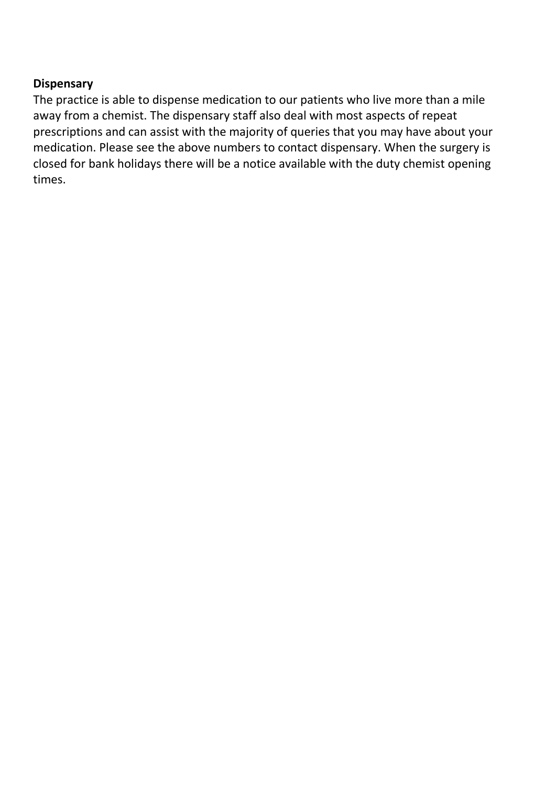### **Dispensary**

The practice is able to dispense medication to our patients who live more than a mile away from a chemist. The dispensary staff also deal with most aspects of repeat prescriptions and can assist with the majority of queries that you may have about your medication. Please see the above numbers to contact dispensary. When the surgery is closed for bank holidays there will be a notice available with the duty chemist opening times.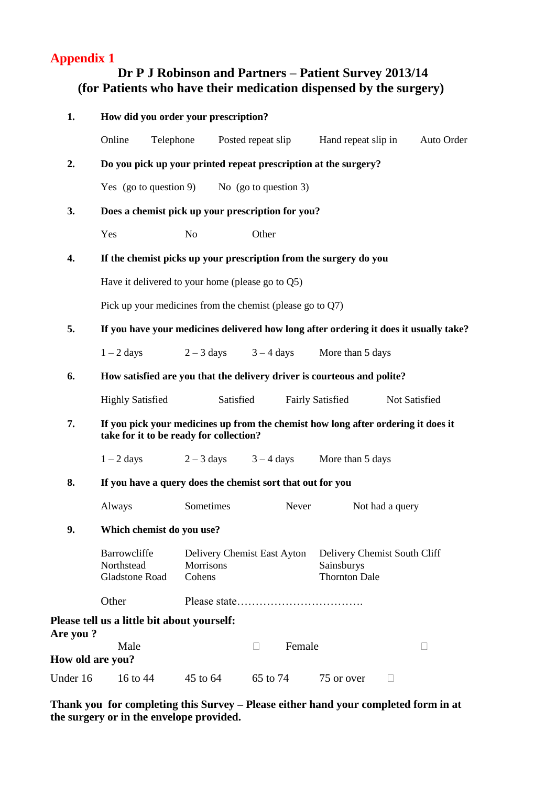## **Appendix 1**

## **Dr P J Robinson and Partners – Patient Survey 2013/14 (for Patients who have their medication dispensed by the surgery)**

| 1.               |                                                                   |                                                                 | How did you order your prescription? |        |                                                                                   |                                                                                       |  |  |
|------------------|-------------------------------------------------------------------|-----------------------------------------------------------------|--------------------------------------|--------|-----------------------------------------------------------------------------------|---------------------------------------------------------------------------------------|--|--|
|                  | Online                                                            | Telephone                                                       | Posted repeat slip                   |        | Hand repeat slip in                                                               | Auto Order                                                                            |  |  |
| 2.               |                                                                   | Do you pick up your printed repeat prescription at the surgery? |                                      |        |                                                                                   |                                                                                       |  |  |
|                  | Yes (go to question 9) No (go to question 3)                      |                                                                 |                                      |        |                                                                                   |                                                                                       |  |  |
| 3.               | Does a chemist pick up your prescription for you?                 |                                                                 |                                      |        |                                                                                   |                                                                                       |  |  |
|                  | Yes                                                               | N <sub>o</sub>                                                  |                                      |        |                                                                                   |                                                                                       |  |  |
| 4.               | If the chemist picks up your prescription from the surgery do you |                                                                 |                                      |        |                                                                                   |                                                                                       |  |  |
|                  | Have it delivered to your home (please go to $Q5$ )               |                                                                 |                                      |        |                                                                                   |                                                                                       |  |  |
|                  | Pick up your medicines from the chemist (please go to $Q7$ )      |                                                                 |                                      |        |                                                                                   |                                                                                       |  |  |
| 5.               |                                                                   |                                                                 |                                      |        |                                                                                   | If you have your medicines delivered how long after ordering it does it usually take? |  |  |
|                  | $1 - 2$ days                                                      | $2 - 3$ days                                                    | $3 - 4$ days                         |        | More than 5 days                                                                  |                                                                                       |  |  |
| 6.               |                                                                   |                                                                 |                                      |        | How satisfied are you that the delivery driver is courteous and polite?           |                                                                                       |  |  |
|                  | <b>Highly Satisfied</b>                                           |                                                                 | Satisfied                            |        | <b>Fairly Satisfied</b>                                                           | Not Satisfied                                                                         |  |  |
| 7.               | take for it to be ready for collection?                           |                                                                 |                                      |        | If you pick your medicines up from the chemist how long after ordering it does it |                                                                                       |  |  |
|                  | $1 - 2$ days                                                      |                                                                 |                                      |        | $2-3$ days $3-4$ days More than 5 days                                            |                                                                                       |  |  |
| 8.               | If you have a query does the chemist sort that out for you        |                                                                 |                                      |        |                                                                                   |                                                                                       |  |  |
|                  | Always                                                            | Sometimes                                                       |                                      | Never  | Not had a query                                                                   |                                                                                       |  |  |
| 9.               | Which chemist do you use?                                         |                                                                 |                                      |        |                                                                                   |                                                                                       |  |  |
|                  | Barrowcliffe<br>Northstead<br><b>Gladstone Road</b>               | <b>Morrisons</b><br>Cohens                                      | Delivery Chemist East Ayton          |        | Delivery Chemist South Cliff<br>Sainsburys<br><b>Thornton Dale</b>                |                                                                                       |  |  |
|                  | Other                                                             |                                                                 |                                      |        |                                                                                   |                                                                                       |  |  |
| Are you?         | Please tell us a little bit about yourself:                       |                                                                 |                                      |        |                                                                                   |                                                                                       |  |  |
| How old are you? | Male                                                              |                                                                 | П                                    | Female |                                                                                   | П                                                                                     |  |  |
|                  |                                                                   |                                                                 |                                      |        |                                                                                   |                                                                                       |  |  |
| Under 16         | 16 to 44                                                          | 45 to 64                                                        | 65 to 74                             |        | 75 or over                                                                        | $\overline{\phantom{a}}$                                                              |  |  |

**Thank you for completing this Survey – Please either hand your completed form in at the surgery or in the envelope provided.**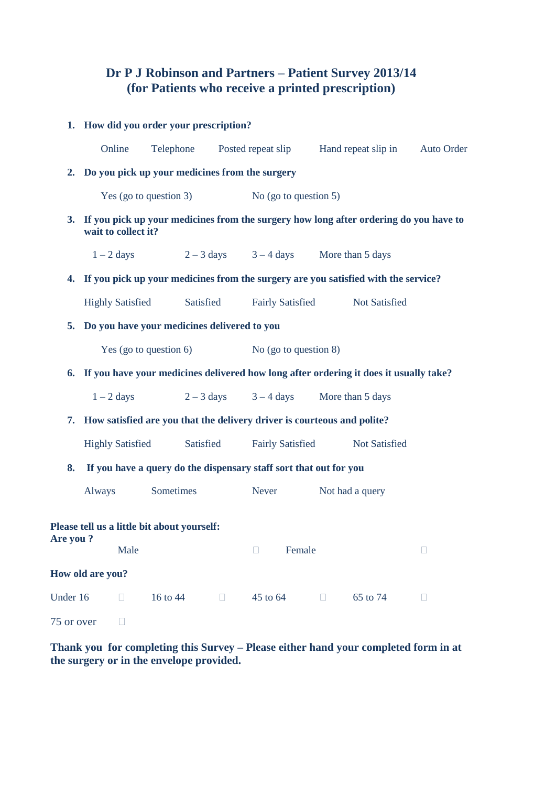## **Dr P J Robinson and Partners – Patient Survey 2013/14 (for Patients who receive a printed prescription)**

|            | 1. How did you order your prescription?                                                                      |                                                                            |           |        |                          |        |        |                                                                                       |            |
|------------|--------------------------------------------------------------------------------------------------------------|----------------------------------------------------------------------------|-----------|--------|--------------------------|--------|--------|---------------------------------------------------------------------------------------|------------|
|            | Online                                                                                                       | Telephone                                                                  |           |        | Posted repeat slip       |        |        | Hand repeat slip in                                                                   | Auto Order |
|            | 2. Do you pick up your medicines from the surgery                                                            |                                                                            |           |        |                          |        |        |                                                                                       |            |
|            |                                                                                                              | Yes (go to question 3)                                                     |           |        | No (go to question $5$ ) |        |        |                                                                                       |            |
| 3.         | If you pick up your medicines from the surgery how long after ordering do you have to<br>wait to collect it? |                                                                            |           |        |                          |        |        |                                                                                       |            |
|            | $1 - 2$ days                                                                                                 |                                                                            |           |        |                          |        |        | $2-3$ days $3-4$ days More than 5 days                                                |            |
|            |                                                                                                              |                                                                            |           |        |                          |        |        | 4. If you pick up your medicines from the surgery are you satisfied with the service? |            |
|            | <b>Highly Satisfied</b>                                                                                      |                                                                            | Satisfied |        | <b>Fairly Satisfied</b>  |        |        | Not Satisfied                                                                         |            |
| 5.         |                                                                                                              | Do you have your medicines delivered to you                                |           |        |                          |        |        |                                                                                       |            |
|            | Yes (go to question $6$ )                                                                                    |                                                                            |           |        | No (go to question $8$ ) |        |        |                                                                                       |            |
|            | 6. If you have your medicines delivered how long after ordering it does it usually take?                     |                                                                            |           |        |                          |        |        |                                                                                       |            |
|            | $1 - 2$ days                                                                                                 |                                                                            |           |        | $2-3$ days $3-4$ days    |        |        | More than 5 days                                                                      |            |
|            |                                                                                                              | 7. How satisfied are you that the delivery driver is courteous and polite? |           |        |                          |        |        |                                                                                       |            |
|            |                                                                                                              | <b>Highly Satisfied</b>                                                    | Satisfied |        | <b>Fairly Satisfied</b>  |        |        | Not Satisfied                                                                         |            |
| 8.         |                                                                                                              | If you have a query do the dispensary staff sort that out for you          |           |        |                          |        |        |                                                                                       |            |
|            | Always                                                                                                       | Sometimes                                                                  |           |        | Never                    |        |        | Not had a query                                                                       |            |
| Are you?   |                                                                                                              | Please tell us a little bit about yourself:                                |           |        |                          |        |        |                                                                                       |            |
|            |                                                                                                              | Male                                                                       |           |        | $\Box$                   | Female |        |                                                                                       | $\Box$     |
|            | How old are you?                                                                                             |                                                                            |           |        |                          |        |        |                                                                                       |            |
| Under 16   | п                                                                                                            | 16 to 44                                                                   |           | $\Box$ | 45 to 64                 |        | $\Box$ | 65 to 74                                                                              | Ш          |
| 75 or over |                                                                                                              |                                                                            |           |        |                          |        |        |                                                                                       |            |

**Thank you for completing this Survey – Please either hand your completed form in at the surgery or in the envelope provided.**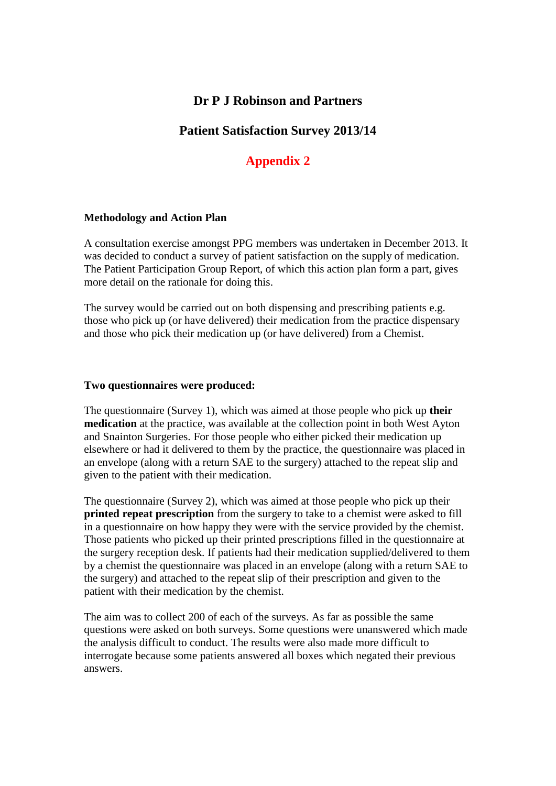### **Dr P J Robinson and Partners**

### **Patient Satisfaction Survey 2013/14**

## **Appendix 2**

#### **Methodology and Action Plan**

A consultation exercise amongst PPG members was undertaken in December 2013. It was decided to conduct a survey of patient satisfaction on the supply of medication. The Patient Participation Group Report, of which this action plan form a part, gives more detail on the rationale for doing this.

The survey would be carried out on both dispensing and prescribing patients e.g. those who pick up (or have delivered) their medication from the practice dispensary and those who pick their medication up (or have delivered) from a Chemist.

#### **Two questionnaires were produced:**

The questionnaire (Survey 1), which was aimed at those people who pick up **their medication** at the practice, was available at the collection point in both West Ayton and Snainton Surgeries. For those people who either picked their medication up elsewhere or had it delivered to them by the practice, the questionnaire was placed in an envelope (along with a return SAE to the surgery) attached to the repeat slip and given to the patient with their medication.

The questionnaire (Survey 2), which was aimed at those people who pick up their **printed repeat prescription** from the surgery to take to a chemist were asked to fill in a questionnaire on how happy they were with the service provided by the chemist. Those patients who picked up their printed prescriptions filled in the questionnaire at the surgery reception desk. If patients had their medication supplied/delivered to them by a chemist the questionnaire was placed in an envelope (along with a return SAE to the surgery) and attached to the repeat slip of their prescription and given to the patient with their medication by the chemist.

The aim was to collect 200 of each of the surveys. As far as possible the same questions were asked on both surveys. Some questions were unanswered which made the analysis difficult to conduct. The results were also made more difficult to interrogate because some patients answered all boxes which negated their previous answers.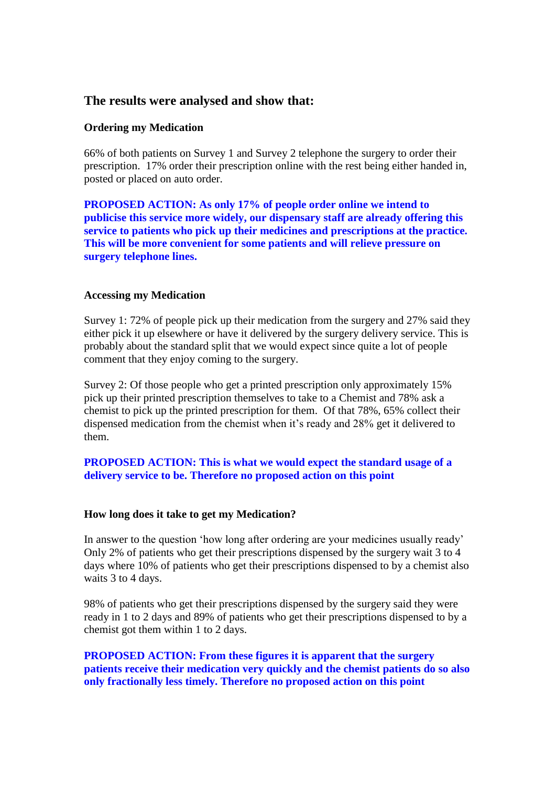### **The results were analysed and show that:**

### **Ordering my Medication**

66% of both patients on Survey 1 and Survey 2 telephone the surgery to order their prescription. 17% order their prescription online with the rest being either handed in, posted or placed on auto order.

**PROPOSED ACTION: As only 17% of people order online we intend to publicise this service more widely, our dispensary staff are already offering this service to patients who pick up their medicines and prescriptions at the practice. This will be more convenient for some patients and will relieve pressure on surgery telephone lines.** 

#### **Accessing my Medication**

Survey 1: 72% of people pick up their medication from the surgery and 27% said they either pick it up elsewhere or have it delivered by the surgery delivery service. This is probably about the standard split that we would expect since quite a lot of people comment that they enjoy coming to the surgery.

Survey 2: Of those people who get a printed prescription only approximately 15% pick up their printed prescription themselves to take to a Chemist and 78% ask a chemist to pick up the printed prescription for them. Of that 78%, 65% collect their dispensed medication from the chemist when it's ready and 28% get it delivered to them.

### **PROPOSED ACTION: This is what we would expect the standard usage of a delivery service to be. Therefore no proposed action on this point**

#### **How long does it take to get my Medication?**

In answer to the question 'how long after ordering are your medicines usually ready' Only 2% of patients who get their prescriptions dispensed by the surgery wait 3 to 4 days where 10% of patients who get their prescriptions dispensed to by a chemist also waits 3 to 4 days.

98% of patients who get their prescriptions dispensed by the surgery said they were ready in 1 to 2 days and 89% of patients who get their prescriptions dispensed to by a chemist got them within 1 to 2 days.

**PROPOSED ACTION: From these figures it is apparent that the surgery patients receive their medication very quickly and the chemist patients do so also only fractionally less timely. Therefore no proposed action on this point**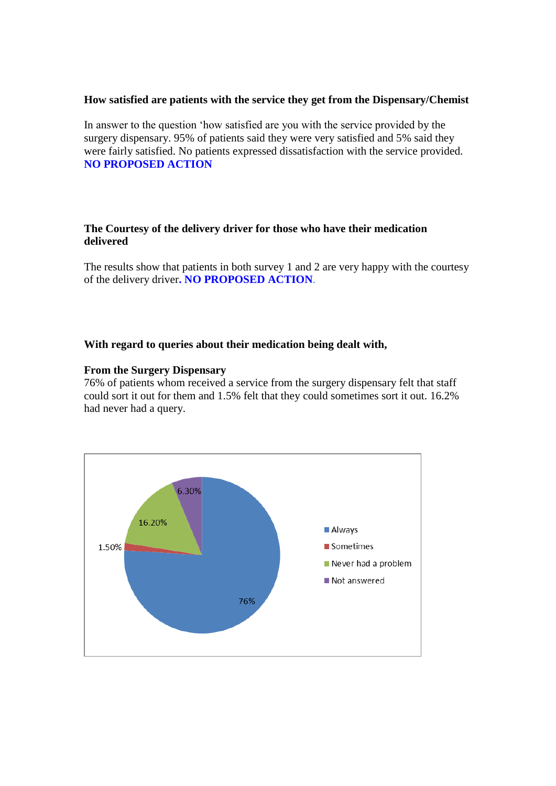#### **How satisfied are patients with the service they get from the Dispensary/Chemist**

In answer to the question 'how satisfied are you with the service provided by the surgery dispensary. 95% of patients said they were very satisfied and 5% said they were fairly satisfied. No patients expressed dissatisfaction with the service provided. **NO PROPOSED ACTION**

### **The Courtesy of the delivery driver for those who have their medication delivered**

The results show that patients in both survey 1 and 2 are very happy with the courtesy of the delivery driver**. NO PROPOSED ACTION**.

#### **With regard to queries about their medication being dealt with,**

#### **From the Surgery Dispensary**

76% of patients whom received a service from the surgery dispensary felt that staff could sort it out for them and 1.5% felt that they could sometimes sort it out. 16.2% had never had a query.

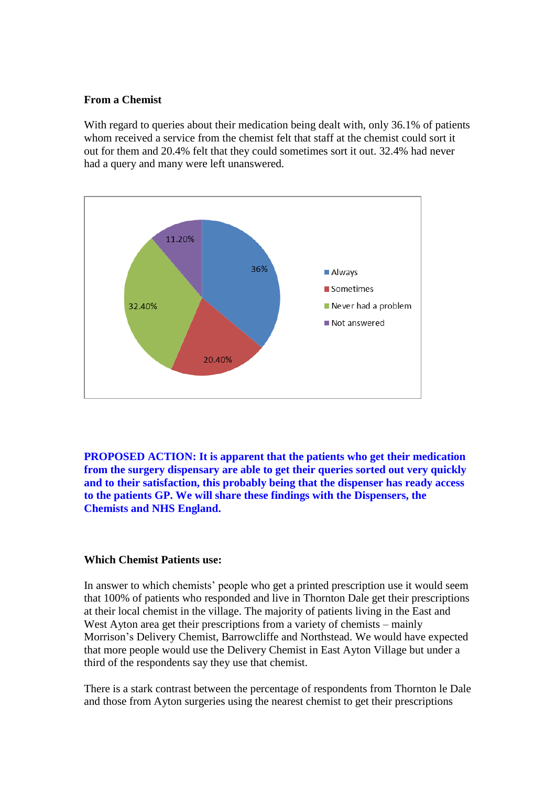#### **From a Chemist**

With regard to queries about their medication being dealt with, only 36.1% of patients whom received a service from the chemist felt that staff at the chemist could sort it out for them and 20.4% felt that they could sometimes sort it out. 32.4% had never had a query and many were left unanswered.



**PROPOSED ACTION: It is apparent that the patients who get their medication from the surgery dispensary are able to get their queries sorted out very quickly and to their satisfaction, this probably being that the dispenser has ready access to the patients GP. We will share these findings with the Dispensers, the Chemists and NHS England.**

#### **Which Chemist Patients use:**

In answer to which chemists' people who get a printed prescription use it would seem that 100% of patients who responded and live in Thornton Dale get their prescriptions at their local chemist in the village. The majority of patients living in the East and West Ayton area get their prescriptions from a variety of chemists – mainly Morrison's Delivery Chemist, Barrowcliffe and Northstead. We would have expected that more people would use the Delivery Chemist in East Ayton Village but under a third of the respondents say they use that chemist.

There is a stark contrast between the percentage of respondents from Thornton le Dale and those from Ayton surgeries using the nearest chemist to get their prescriptions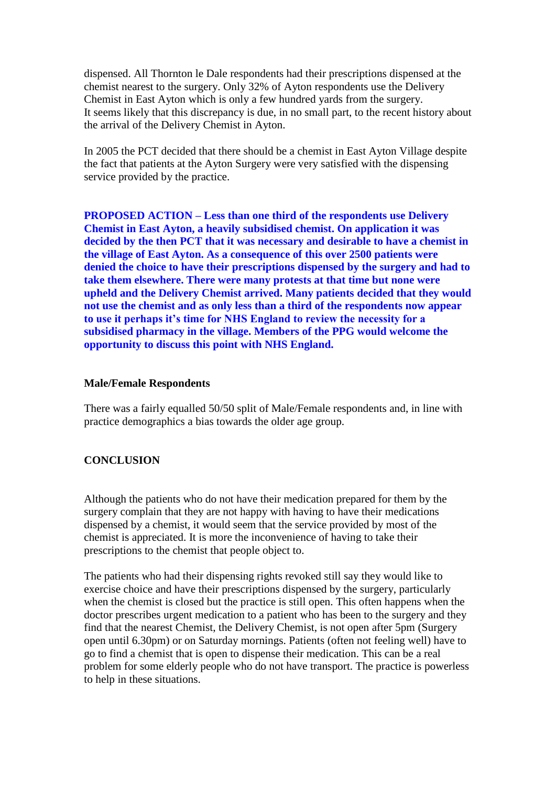dispensed. All Thornton le Dale respondents had their prescriptions dispensed at the chemist nearest to the surgery. Only 32% of Ayton respondents use the Delivery Chemist in East Ayton which is only a few hundred yards from the surgery. It seems likely that this discrepancy is due, in no small part, to the recent history about the arrival of the Delivery Chemist in Ayton.

In 2005 the PCT decided that there should be a chemist in East Ayton Village despite the fact that patients at the Ayton Surgery were very satisfied with the dispensing service provided by the practice.

**PROPOSED ACTION – Less than one third of the respondents use Delivery Chemist in East Ayton, a heavily subsidised chemist. On application it was decided by the then PCT that it was necessary and desirable to have a chemist in the village of East Ayton. As a consequence of this over 2500 patients were denied the choice to have their prescriptions dispensed by the surgery and had to take them elsewhere. There were many protests at that time but none were upheld and the Delivery Chemist arrived. Many patients decided that they would not use the chemist and as only less than a third of the respondents now appear to use it perhaps it's time for NHS England to review the necessity for a subsidised pharmacy in the village. Members of the PPG would welcome the opportunity to discuss this point with NHS England.**

#### **Male/Female Respondents**

There was a fairly equalled 50/50 split of Male/Female respondents and, in line with practice demographics a bias towards the older age group.

#### **CONCLUSION**

Although the patients who do not have their medication prepared for them by the surgery complain that they are not happy with having to have their medications dispensed by a chemist, it would seem that the service provided by most of the chemist is appreciated. It is more the inconvenience of having to take their prescriptions to the chemist that people object to.

The patients who had their dispensing rights revoked still say they would like to exercise choice and have their prescriptions dispensed by the surgery, particularly when the chemist is closed but the practice is still open. This often happens when the doctor prescribes urgent medication to a patient who has been to the surgery and they find that the nearest Chemist, the Delivery Chemist, is not open after 5pm (Surgery open until 6.30pm) or on Saturday mornings. Patients (often not feeling well) have to go to find a chemist that is open to dispense their medication. This can be a real problem for some elderly people who do not have transport. The practice is powerless to help in these situations.